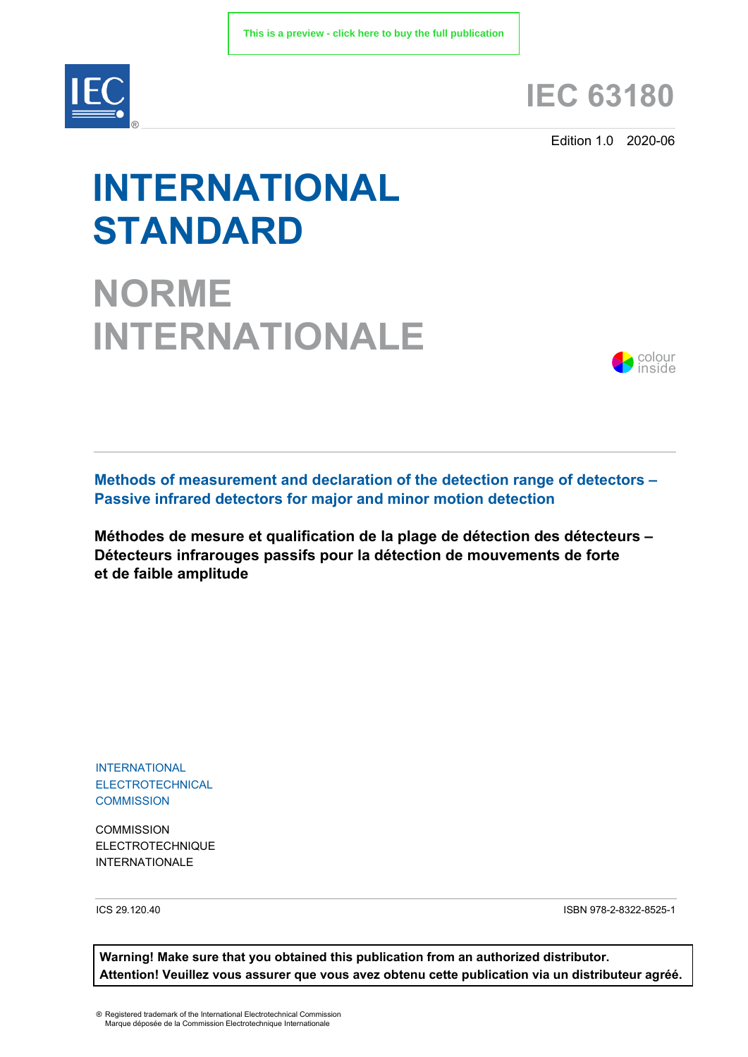

### **IEC 63180**

Edition 1.0 2020-06

# **INTERNATIONAL STANDARD**

## **NORME INTERNATIONALE**



**Methods of measurement and declaration of the detection range of detectors – Passive infrared detectors for major and minor motion detection** 

**Méthodes de mesure et qualification de la plage de détection des détecteurs – Détecteurs infrarouges passifs pour la détection de mouvements de forte et de faible amplitude** 

INTERNATIONAL ELECTROTECHNICAL **COMMISSION** 

**COMMISSION** ELECTROTECHNIQUE INTERNATIONALE

ICS 29.120.40 ISBN 978-2-8322-8525-1

**Warning! Make sure that you obtained this publication from an authorized distributor. Attention! Veuillez vous assurer que vous avez obtenu cette publication via un distributeur agréé.**

® Registered trademark of the International Electrotechnical Commission Marque déposée de la Commission Electrotechnique Internationale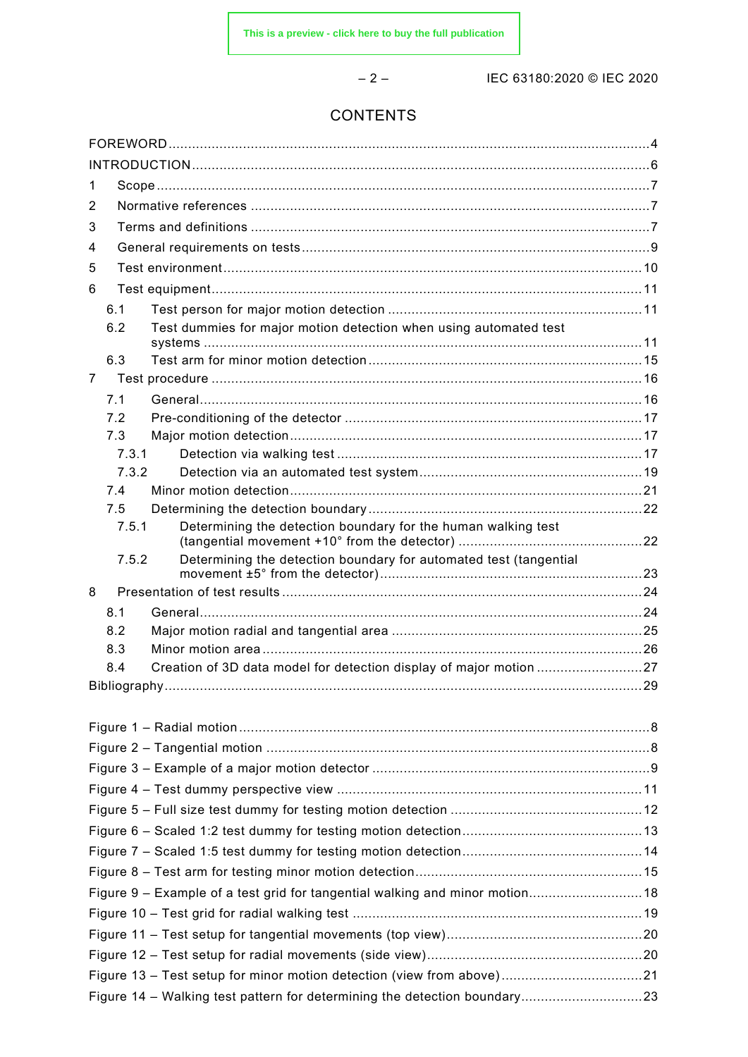### CONTENTS

| 1              |            |                                                                                                                                                    |  |
|----------------|------------|----------------------------------------------------------------------------------------------------------------------------------------------------|--|
| 2              |            |                                                                                                                                                    |  |
| 3              |            |                                                                                                                                                    |  |
| 4              |            |                                                                                                                                                    |  |
| 5              |            |                                                                                                                                                    |  |
| 6              |            |                                                                                                                                                    |  |
|                | 6.1        |                                                                                                                                                    |  |
|                | 6.2        | Test dummies for major motion detection when using automated test                                                                                  |  |
|                |            |                                                                                                                                                    |  |
|                | 6.3        |                                                                                                                                                    |  |
| $\overline{7}$ |            |                                                                                                                                                    |  |
|                | 7.1        |                                                                                                                                                    |  |
|                | 7.2<br>7.3 |                                                                                                                                                    |  |
|                | 7.3.1      |                                                                                                                                                    |  |
|                | 7.3.2      |                                                                                                                                                    |  |
|                | 7.4        |                                                                                                                                                    |  |
|                | 7.5        |                                                                                                                                                    |  |
|                | 7.5.1      | Determining the detection boundary for the human walking test                                                                                      |  |
|                |            |                                                                                                                                                    |  |
|                | 7.5.2      | Determining the detection boundary for automated test (tangential                                                                                  |  |
|                |            |                                                                                                                                                    |  |
|                |            |                                                                                                                                                    |  |
| 8              |            |                                                                                                                                                    |  |
|                | 8.1        |                                                                                                                                                    |  |
|                | 8.2        |                                                                                                                                                    |  |
|                | 8.3<br>8.4 |                                                                                                                                                    |  |
|                |            | Creation of 3D data model for detection display of major motion 27                                                                                 |  |
|                |            |                                                                                                                                                    |  |
|                |            |                                                                                                                                                    |  |
|                |            |                                                                                                                                                    |  |
|                |            |                                                                                                                                                    |  |
|                |            |                                                                                                                                                    |  |
|                |            |                                                                                                                                                    |  |
|                |            |                                                                                                                                                    |  |
|                |            |                                                                                                                                                    |  |
|                |            |                                                                                                                                                    |  |
|                |            |                                                                                                                                                    |  |
|                |            | Figure 9 – Example of a test grid for tangential walking and minor motion 18                                                                       |  |
|                |            |                                                                                                                                                    |  |
|                |            |                                                                                                                                                    |  |
|                |            |                                                                                                                                                    |  |
|                |            | Figure 13 - Test setup for minor motion detection (view from above)21<br>Figure 14 - Walking test pattern for determining the detection boundary23 |  |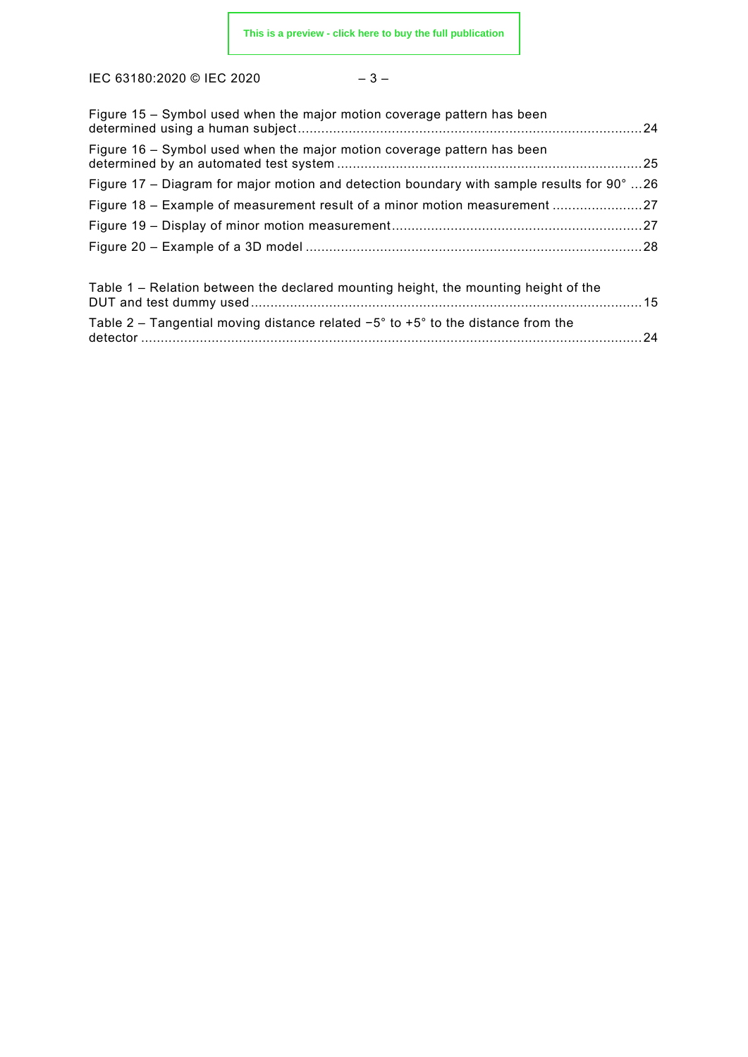IEC 63180:2020 © IEC 2020

|  | ۰. |  |
|--|----|--|
|--|----|--|

| Figure 15 - Symbol used when the major motion coverage pattern has been                    |  |
|--------------------------------------------------------------------------------------------|--|
| Figure 16 – Symbol used when the major motion coverage pattern has been                    |  |
| Figure 17 – Diagram for major motion and detection boundary with sample results for 90° 26 |  |
| Figure 18 – Example of measurement result of a minor motion measurement                    |  |
|                                                                                            |  |
|                                                                                            |  |
| Table 1 – Relation between the declared mounting height, the mounting height of the        |  |

| Table 2 – Tangential moving distance related $-5^{\circ}$ to +5° to the distance from the |  |
|-------------------------------------------------------------------------------------------|--|
|                                                                                           |  |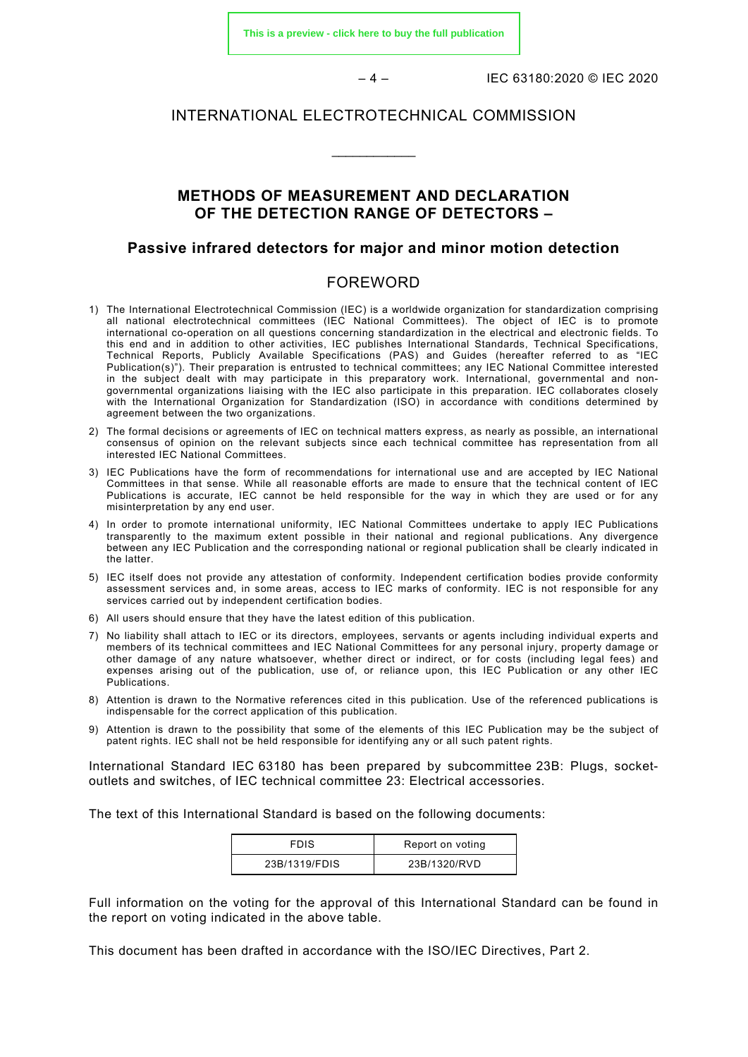**[This is a preview - click here to buy the full publication](https://webstore.iec.ch/publication/61559&preview)**

– 4 – IEC 63180:2020 © IEC 2020

#### INTERNATIONAL ELECTROTECHNICAL COMMISSION

\_\_\_\_\_\_\_\_\_\_\_\_

#### **METHODS OF MEASUREMENT AND DECLARATION OF THE DETECTION RANGE OF DETECTORS –**

#### **Passive infrared detectors for major and minor motion detection**

#### FOREWORD

- <span id="page-3-0"></span>1) The International Electrotechnical Commission (IEC) is a worldwide organization for standardization comprising all national electrotechnical committees (IEC National Committees). The object of IEC is to promote international co-operation on all questions concerning standardization in the electrical and electronic fields. To this end and in addition to other activities, IEC publishes International Standards, Technical Specifications, Technical Reports, Publicly Available Specifications (PAS) and Guides (hereafter referred to as "IEC Publication(s)"). Their preparation is entrusted to technical committees; any IEC National Committee interested in the subject dealt with may participate in this preparatory work. International, governmental and nongovernmental organizations liaising with the IEC also participate in this preparation. IEC collaborates closely with the International Organization for Standardization (ISO) in accordance with conditions determined by agreement between the two organizations.
- 2) The formal decisions or agreements of IEC on technical matters express, as nearly as possible, an international consensus of opinion on the relevant subjects since each technical committee has representation from all interested IEC National Committees.
- 3) IEC Publications have the form of recommendations for international use and are accepted by IEC National Committees in that sense. While all reasonable efforts are made to ensure that the technical content of IEC Publications is accurate, IEC cannot be held responsible for the way in which they are used or for any misinterpretation by any end user.
- 4) In order to promote international uniformity, IEC National Committees undertake to apply IEC Publications transparently to the maximum extent possible in their national and regional publications. Any divergence between any IEC Publication and the corresponding national or regional publication shall be clearly indicated in the latter.
- 5) IEC itself does not provide any attestation of conformity. Independent certification bodies provide conformity assessment services and, in some areas, access to IEC marks of conformity. IEC is not responsible for any services carried out by independent certification bodies.
- 6) All users should ensure that they have the latest edition of this publication.
- 7) No liability shall attach to IEC or its directors, employees, servants or agents including individual experts and members of its technical committees and IEC National Committees for any personal injury, property damage or other damage of any nature whatsoever, whether direct or indirect, or for costs (including legal fees) and expenses arising out of the publication, use of, or reliance upon, this IEC Publication or any other IEC Publications.
- 8) Attention is drawn to the Normative references cited in this publication. Use of the referenced publications is indispensable for the correct application of this publication.
- 9) Attention is drawn to the possibility that some of the elements of this IEC Publication may be the subject of patent rights. IEC shall not be held responsible for identifying any or all such patent rights.

International Standard IEC 63180 has been prepared by subcommittee 23B: Plugs, socketoutlets and switches, of IEC technical committee 23: Electrical accessories.

The text of this International Standard is based on the following documents:

| <b>FDIS</b>   | Report on voting |
|---------------|------------------|
| 23B/1319/FDIS | 23B/1320/RVD     |

Full information on the voting for the approval of this International Standard can be found in the report on voting indicated in the above table.

This document has been drafted in accordance with the ISO/IEC Directives, Part 2.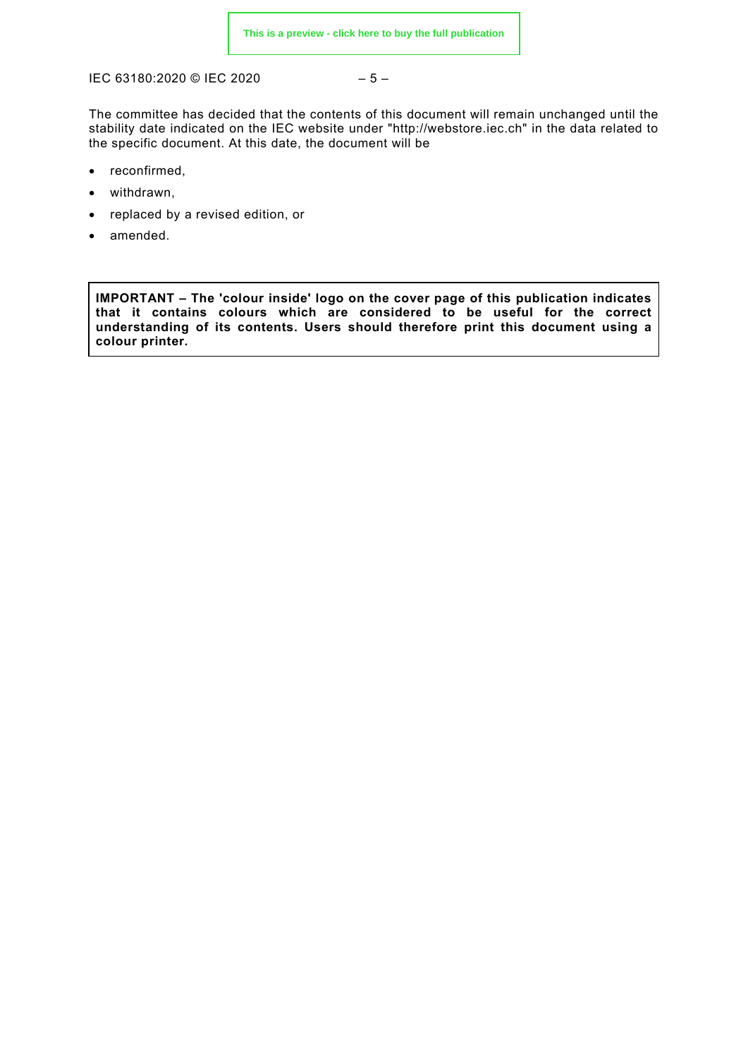IEC 63180:2020 © IEC 2020 – 5 –

The committee has decided that the contents of this document will remain unchanged until the stability date indicated on the IEC website under "http://webstore.iec.ch" in the data related to the specific document. At this date, the document will be

- reconfirmed,
- withdrawn,
- replaced by a revised edition, or
- amended.

**IMPORTANT – The 'colour inside' logo on the cover page of this publication indicates that it contains colours which are considered to be useful for the correct understanding of its contents. Users should therefore print this document using a colour printer.**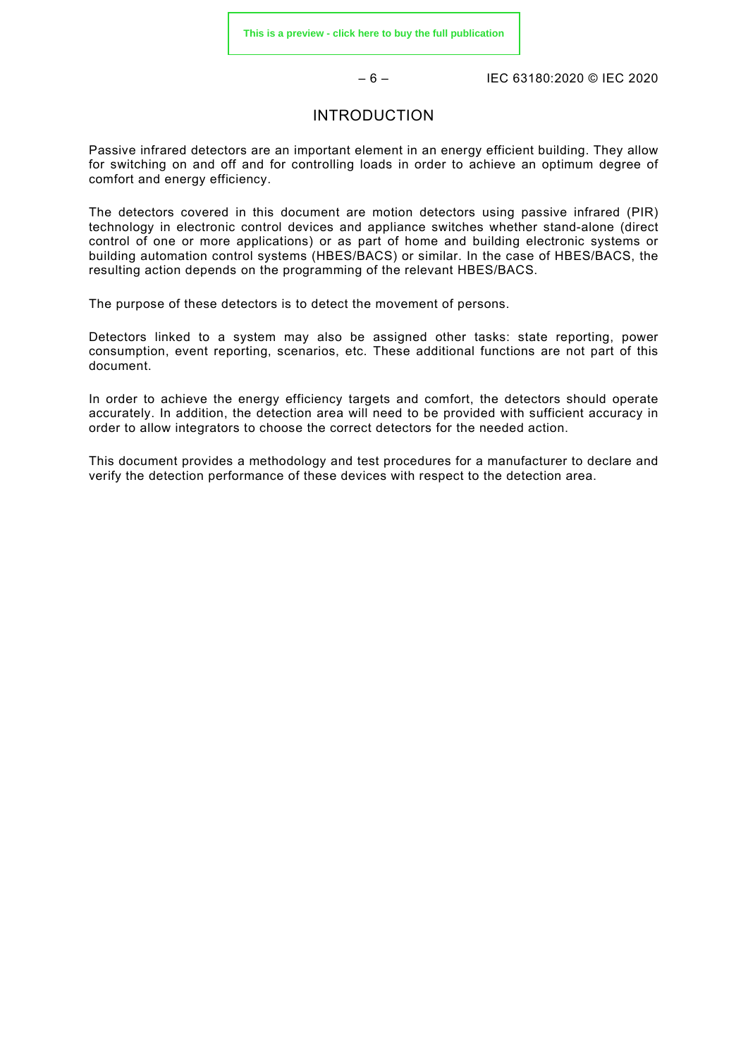– 6 – IEC 63180:2020 © IEC 2020

#### INTRODUCTION

<span id="page-5-0"></span>Passive infrared detectors are an important element in an energy efficient building. They allow for switching on and off and for controlling loads in order to achieve an optimum degree of comfort and energy efficiency.

The detectors covered in this document are motion detectors using passive infrared (PIR) technology in electronic control devices and appliance switches whether stand-alone (direct control of one or more applications) or as part of home and building electronic systems or building automation control systems (HBES/BACS) or similar. In the case of HBES/BACS, the resulting action depends on the programming of the relevant HBES/BACS.

The purpose of these detectors is to detect the movement of persons.

Detectors linked to a system may also be assigned other tasks: state reporting, power consumption, event reporting, scenarios, etc. These additional functions are not part of this document.

In order to achieve the energy efficiency targets and comfort, the detectors should operate accurately. In addition, the detection area will need to be provided with sufficient accuracy in order to allow integrators to choose the correct detectors for the needed action.

This document provides a methodology and test procedures for a manufacturer to declare and verify the detection performance of these devices with respect to the detection area.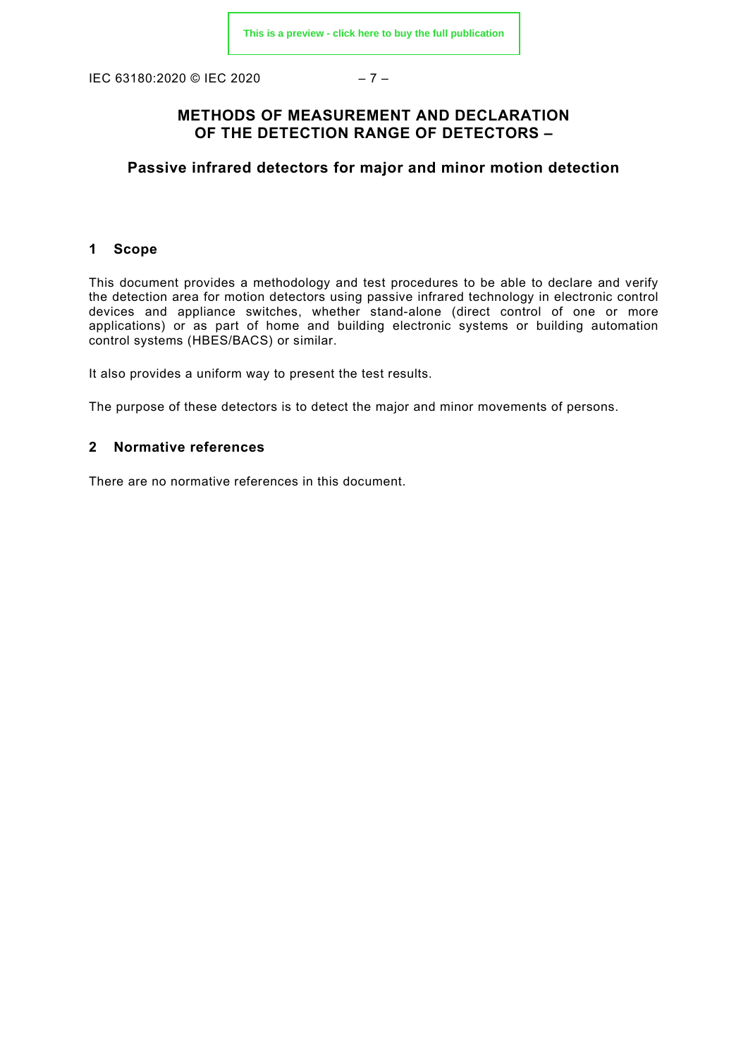IEC 63180:2020 © IEC 2020 – 7 –

#### **METHODS OF MEASUREMENT AND DECLARATION OF THE DETECTION RANGE OF DETECTORS –**

#### **Passive infrared detectors for major and minor motion detection**

#### <span id="page-6-0"></span>**1 Scope**

This document provides a methodology and test procedures to be able to declare and verify the detection area for motion detectors using passive infrared technology in electronic control devices and appliance switches, whether stand-alone (direct control of one or more applications) or as part of home and building electronic systems or building automation control systems (HBES/BACS) or similar.

It also provides a uniform way to present the test results.

The purpose of these detectors is to detect the major and minor movements of persons.

#### <span id="page-6-1"></span>**2 Normative references**

<span id="page-6-2"></span>There are no normative references in this document.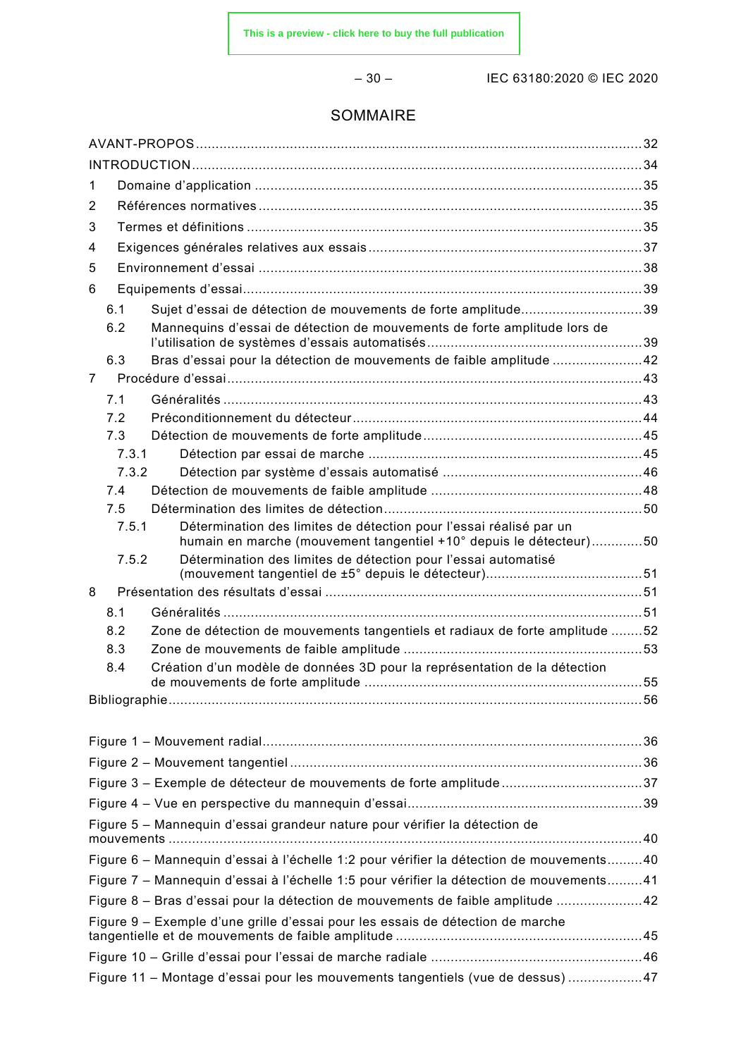– 30 – IEC 63180:2020 © IEC 2020

#### SOMMAIRE

| 1 |              |                                                                                                                                          |  |
|---|--------------|------------------------------------------------------------------------------------------------------------------------------------------|--|
| 2 |              |                                                                                                                                          |  |
| 3 |              |                                                                                                                                          |  |
| 4 |              |                                                                                                                                          |  |
| 5 |              |                                                                                                                                          |  |
| 6 |              |                                                                                                                                          |  |
|   | 6.1          | Sujet d'essai de détection de mouvements de forte amplitude39                                                                            |  |
|   | 6.2          | Mannequins d'essai de détection de mouvements de forte amplitude lors de                                                                 |  |
|   | 6.3          | Bras d'essai pour la détection de mouvements de faible amplitude 42                                                                      |  |
| 7 |              |                                                                                                                                          |  |
|   | 7.1          |                                                                                                                                          |  |
|   | 7.2          |                                                                                                                                          |  |
|   | 7.3<br>7.3.1 |                                                                                                                                          |  |
|   | 7.3.2        |                                                                                                                                          |  |
|   | 7.4          |                                                                                                                                          |  |
|   | 7.5          |                                                                                                                                          |  |
|   | 7.5.1        | Détermination des limites de détection pour l'essai réalisé par un<br>humain en marche (mouvement tangentiel +10° depuis le détecteur)50 |  |
|   | 7.5.2        | Détermination des limites de détection pour l'essai automatisé                                                                           |  |
|   |              |                                                                                                                                          |  |
| 8 |              |                                                                                                                                          |  |
|   | 8.1<br>8.2   | Zone de détection de mouvements tangentiels et radiaux de forte amplitude 52                                                             |  |
|   | 8.3          |                                                                                                                                          |  |
|   | 8.4          | Création d'un modèle de données 3D pour la représentation de la détection                                                                |  |
|   |              |                                                                                                                                          |  |
|   |              |                                                                                                                                          |  |
|   |              |                                                                                                                                          |  |
|   |              |                                                                                                                                          |  |
|   |              |                                                                                                                                          |  |
|   |              | Figure 3 - Exemple de détecteur de mouvements de forte amplitude37                                                                       |  |
|   |              |                                                                                                                                          |  |
|   |              | Figure 5 - Mannequin d'essai grandeur nature pour vérifier la détection de                                                               |  |
|   |              | Figure 6 - Mannequin d'essai à l'échelle 1:2 pour vérifier la détection de mouvements40                                                  |  |
|   |              | Figure 7 - Mannequin d'essai à l'échelle 1:5 pour vérifier la détection de mouvements41                                                  |  |
|   |              | Figure 8 - Bras d'essai pour la détection de mouvements de faible amplitude 42                                                           |  |
|   |              | Figure 9 - Exemple d'une grille d'essai pour les essais de détection de marche                                                           |  |
|   |              |                                                                                                                                          |  |
|   |              | Figure 11 - Montage d'essai pour les mouvements tangentiels (vue de dessus) 47                                                           |  |
|   |              |                                                                                                                                          |  |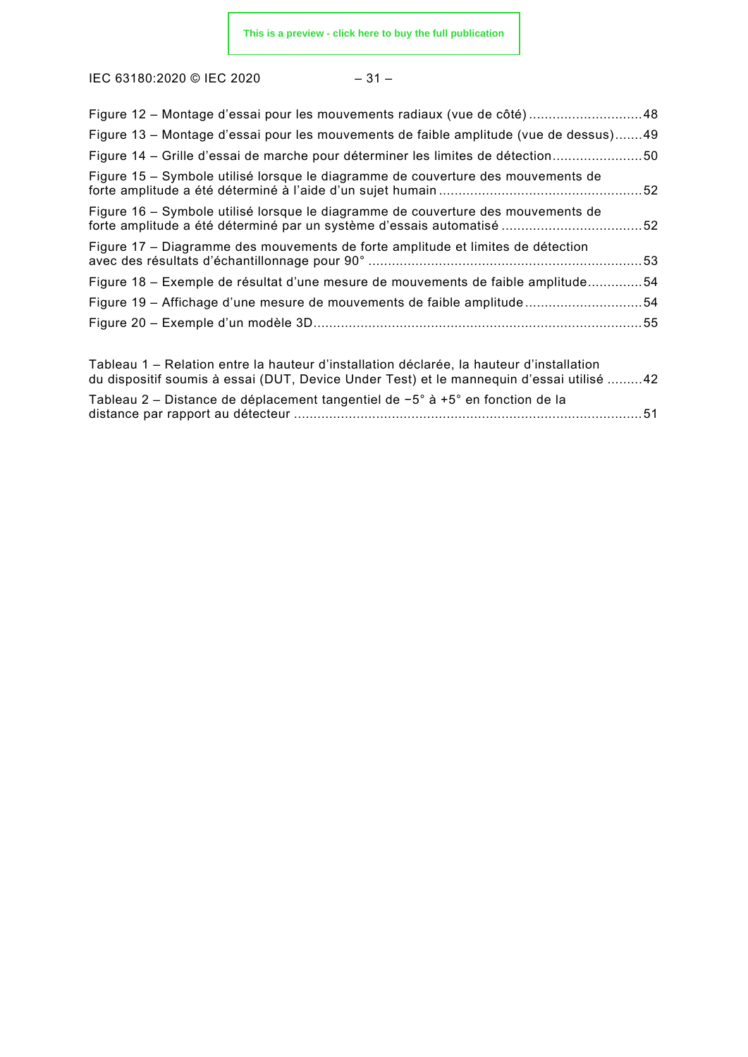IEC 63180:2020 © IEC 2020 – 31 –

| Figure 12 - Montage d'essai pour les mouvements radiaux (vue de côté) 48                                                                                                             |     |
|--------------------------------------------------------------------------------------------------------------------------------------------------------------------------------------|-----|
| Figure 13 – Montage d'essai pour les mouvements de faible amplitude (vue de dessus)49                                                                                                |     |
| Figure 14 – Grille d'essai de marche pour déterminer les limites de détection50                                                                                                      |     |
| Figure 15 - Symbole utilisé lorsque le diagramme de couverture des mouvements de                                                                                                     | .52 |
| Figure 16 – Symbole utilisé lorsque le diagramme de couverture des mouvements de<br>forte amplitude a été déterminé par un système d'essais automatisé 52                            |     |
| Figure 17 – Diagramme des mouvements de forte amplitude et limites de détection                                                                                                      |     |
| Figure 18 – Exemple de résultat d'une mesure de mouvements de faible amplitude54                                                                                                     |     |
| Figure 19 – Affichage d'une mesure de mouvements de faible amplitude54                                                                                                               |     |
|                                                                                                                                                                                      |     |
| Tableau 1 – Relation entre la hauteur d'installation déclarée, la hauteur d'installation<br>du dispositif soumis à essai (DUT, Device Under Test) et le mannequin d'essai utilisé 42 |     |
| Tableau 2 – Distance de déplacement tangentiel de $-5^{\circ}$ à +5° en fonction de la                                                                                               |     |

distance par rapport au détecteur .........................................................................................51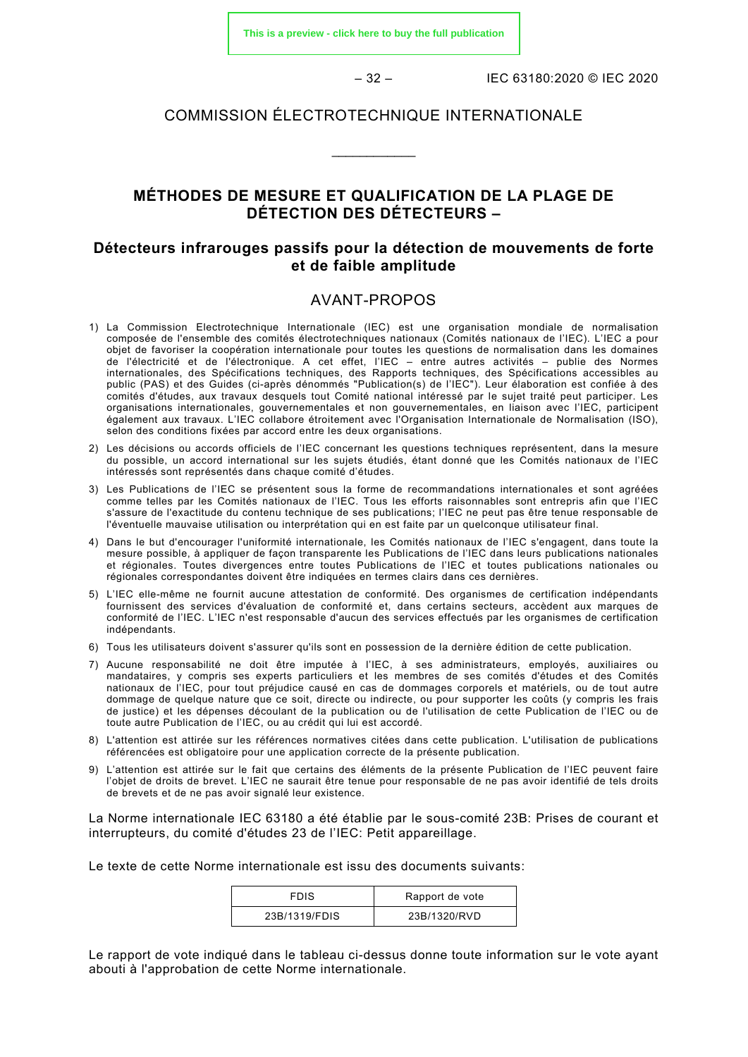**[This is a preview - click here to buy the full publication](https://webstore.iec.ch/publication/61559&preview)**

– 32 – IEC 63180:2020 © IEC 2020

#### COMMISSION ÉLECTROTECHNIQUE INTERNATIONALE

\_\_\_\_\_\_\_\_\_\_\_\_

#### **MÉTHODES DE MESURE ET QUALIFICATION DE LA PLAGE DE DÉTECTION DES DÉTECTEURS –**

#### **Détecteurs infrarouges passifs pour la détection de mouvements de forte et de faible amplitude**

#### AVANT-PROPOS

- <span id="page-9-0"></span>1) La Commission Electrotechnique Internationale (IEC) est une organisation mondiale de normalisation composée de l'ensemble des comités électrotechniques nationaux (Comités nationaux de l'IEC). L'IEC a pour objet de favoriser la coopération internationale pour toutes les questions de normalisation dans les domaines de l'électricité et de l'électronique. A cet effet, l'IEC – entre autres activités – publie des Normes internationales, des Spécifications techniques, des Rapports techniques, des Spécifications accessibles au public (PAS) et des Guides (ci-après dénommés "Publication(s) de l'IEC"). Leur élaboration est confiée à des comités d'études, aux travaux desquels tout Comité national intéressé par le sujet traité peut participer. Les organisations internationales, gouvernementales et non gouvernementales, en liaison avec l'IEC, participent également aux travaux. L'IEC collabore étroitement avec l'Organisation Internationale de Normalisation (ISO), selon des conditions fixées par accord entre les deux organisations.
- 2) Les décisions ou accords officiels de l'IEC concernant les questions techniques représentent, dans la mesure du possible, un accord international sur les sujets étudiés, étant donné que les Comités nationaux de l'IEC intéressés sont représentés dans chaque comité d'études.
- 3) Les Publications de l'IEC se présentent sous la forme de recommandations internationales et sont agréées comme telles par les Comités nationaux de l'IEC. Tous les efforts raisonnables sont entrepris afin que l'IEC s'assure de l'exactitude du contenu technique de ses publications; l'IEC ne peut pas être tenue responsable de l'éventuelle mauvaise utilisation ou interprétation qui en est faite par un quelconque utilisateur final.
- 4) Dans le but d'encourager l'uniformité internationale, les Comités nationaux de l'IEC s'engagent, dans toute la mesure possible, à appliquer de façon transparente les Publications de l'IEC dans leurs publications nationales et régionales. Toutes divergences entre toutes Publications de l'IEC et toutes publications nationales ou régionales correspondantes doivent être indiquées en termes clairs dans ces dernières.
- 5) L'IEC elle-même ne fournit aucune attestation de conformité. Des organismes de certification indépendants fournissent des services d'évaluation de conformité et, dans certains secteurs, accèdent aux marques de conformité de l'IEC. L'IEC n'est responsable d'aucun des services effectués par les organismes de certification indépendants.
- 6) Tous les utilisateurs doivent s'assurer qu'ils sont en possession de la dernière édition de cette publication.
- 7) Aucune responsabilité ne doit être imputée à l'IEC, à ses administrateurs, employés, auxiliaires ou mandataires, y compris ses experts particuliers et les membres de ses comités d'études et des Comités nationaux de l'IEC, pour tout préjudice causé en cas de dommages corporels et matériels, ou de tout autre dommage de quelque nature que ce soit, directe ou indirecte, ou pour supporter les coûts (y compris les frais de justice) et les dépenses découlant de la publication ou de l'utilisation de cette Publication de l'IEC ou de toute autre Publication de l'IEC, ou au crédit qui lui est accordé.
- 8) L'attention est attirée sur les références normatives citées dans cette publication. L'utilisation de publications référencées est obligatoire pour une application correcte de la présente publication.
- 9) L'attention est attirée sur le fait que certains des éléments de la présente Publication de l'IEC peuvent faire l'objet de droits de brevet. L'IEC ne saurait être tenue pour responsable de ne pas avoir identifié de tels droits de brevets et de ne pas avoir signalé leur existence.

La Norme internationale IEC 63180 a été établie par le sous-comité 23B: Prises de courant et interrupteurs, du comité d'études 23 de l'IEC: Petit appareillage.

Le texte de cette Norme internationale est issu des documents suivants:

| FDIS          | Rapport de vote |
|---------------|-----------------|
| 23B/1319/FDIS | 23B/1320/RVD    |

Le rapport de vote indiqué dans le tableau ci-dessus donne toute information sur le vote ayant abouti à l'approbation de cette Norme internationale.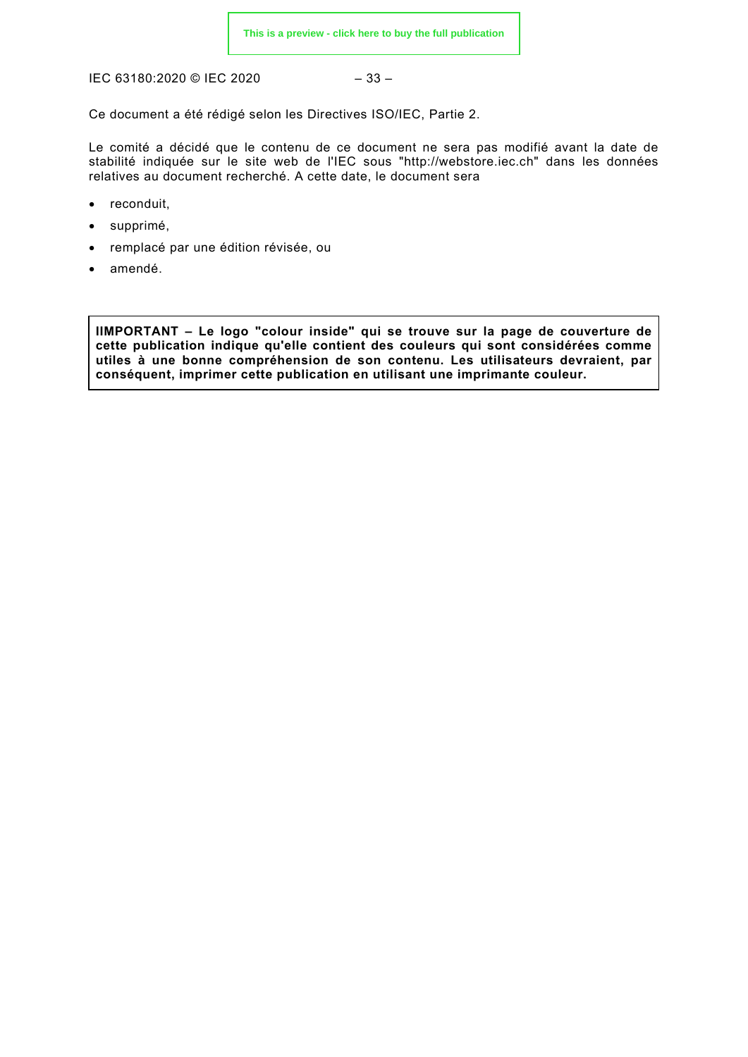IEC 63180:2020 © IEC 2020

$$
-33-
$$

Ce document a été rédigé selon les Directives ISO/IEC, Partie 2.

Le comité a décidé que le contenu de ce document ne sera pas modifié avant la date de stabilité indiquée sur le site web de l'IEC sous "http://webstore.iec.ch" dans les données relatives au document recherché. A cette date, le document sera

- reconduit,
- supprimé,
- remplacé par une édition révisée, ou
- amendé.

**IIMPORTANT – Le logo "colour inside" qui se trouve sur la page de couverture de cette publication indique qu'elle contient des couleurs qui sont considérées comme utiles à une bonne compréhension de son contenu. Les utilisateurs devraient, par conséquent, imprimer cette publication en utilisant une imprimante couleur.**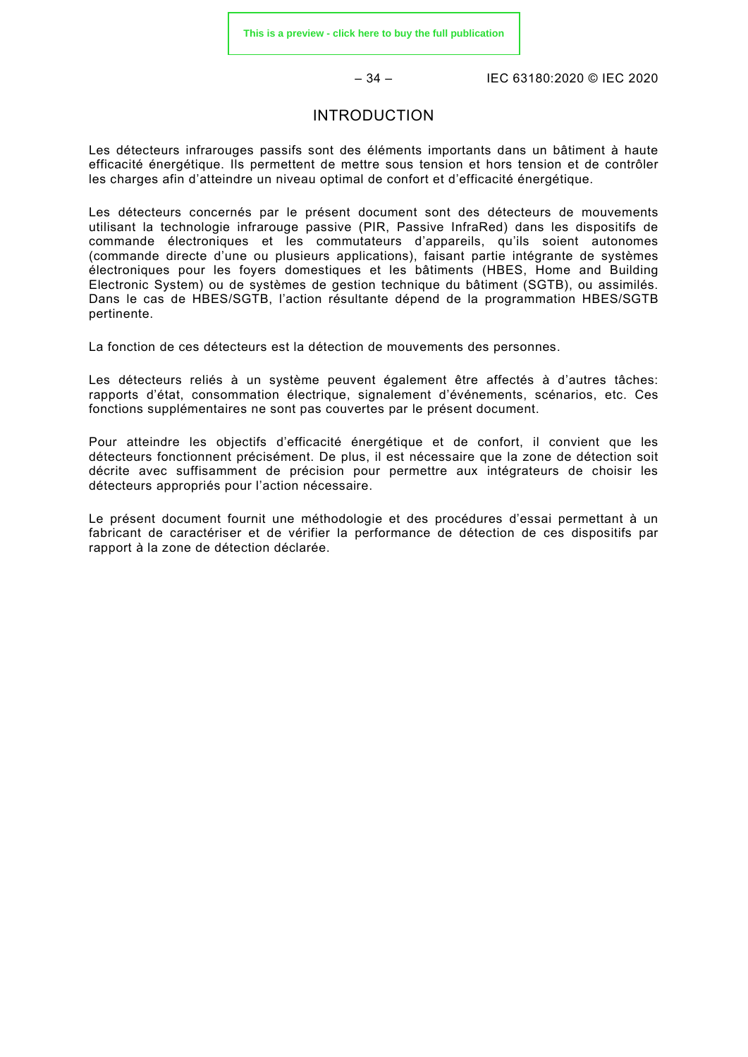– 34 – IEC 63180:2020 © IEC 2020

#### INTRODUCTION

<span id="page-11-0"></span>Les détecteurs infrarouges passifs sont des éléments importants dans un bâtiment à haute efficacité énergétique. Ils permettent de mettre sous tension et hors tension et de contrôler les charges afin d'atteindre un niveau optimal de confort et d'efficacité énergétique.

Les détecteurs concernés par le présent document sont des détecteurs de mouvements utilisant la technologie infrarouge passive (PIR, Passive InfraRed) dans les dispositifs de commande électroniques et les commutateurs d'appareils, qu'ils soient autonomes (commande directe d'une ou plusieurs applications), faisant partie intégrante de systèmes électroniques pour les foyers domestiques et les bâtiments (HBES, Home and Building Electronic System) ou de systèmes de gestion technique du bâtiment (SGTB), ou assimilés. Dans le cas de HBES/SGTB, l'action résultante dépend de la programmation HBES/SGTB pertinente.

La fonction de ces détecteurs est la détection de mouvements des personnes.

Les détecteurs reliés à un système peuvent également être affectés à d'autres tâches: rapports d'état, consommation électrique, signalement d'événements, scénarios, etc. Ces fonctions supplémentaires ne sont pas couvertes par le présent document.

Pour atteindre les objectifs d'efficacité énergétique et de confort, il convient que les détecteurs fonctionnent précisément. De plus, il est nécessaire que la zone de détection soit décrite avec suffisamment de précision pour permettre aux intégrateurs de choisir les détecteurs appropriés pour l'action nécessaire.

Le présent document fournit une méthodologie et des procédures d'essai permettant à un fabricant de caractériser et de vérifier la performance de détection de ces dispositifs par rapport à la zone de détection déclarée.